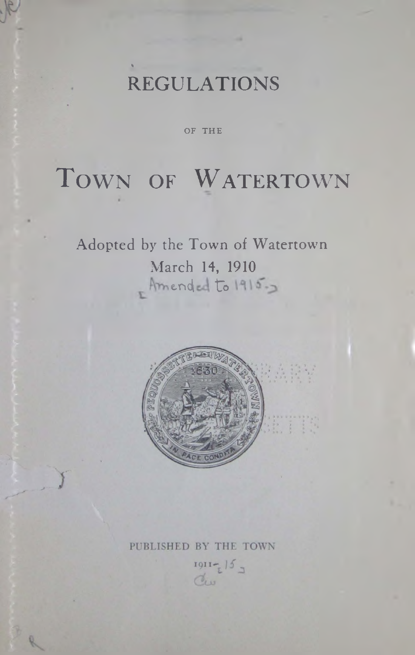# REGULATIONS

%

OF THE

# TOWN OF WATERTOWN

Adopted by the Town of Watertown March 14, 1910 Amended to 1915.



# PUBLISHED BY THE TOWN

 $1911 - 15$ Cliss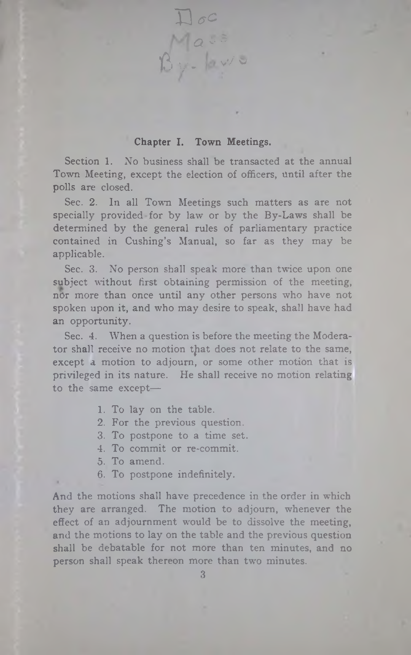Chapter I. Town Meetings.

 $\square$ oc

 $a$  ss

 $15y - 8y = 0$ 

Section 1. No business shall be transacted at the annual Town Meeting, except the election of officers, until after the polls are closed.

Sec. 2. In all Town Meetings such matters as are not specially provided for by law or by the By-Laws shall be determined by the general rules of parliamentary practice contained in Cushing's Manual, so far as they may be applicable.

Sec. 3. No person shall speak more than twice upon one subject without first obtaining permission of the meeting, nor more than once until any other persons who have not spoken upon it, and who may desire to speak, shall have had an opportunity.

Sec. 4. When a question is before the meeting the Moderator shall receive no motion that does not relate to the same, except a motion to adjourn, or some other motion that is privileged in its nature. He shall receive no motion relating to the same except—

- 1. To lay on the table.
- 2. For the previous question.
- 3. To postpone to a time set.
- 4. To commit or re-commit.
- 5. To amend.
- 6. To postpone indefinitely.

And the motions shall have precedence in the order in which they are arranged. The motion to adjourn, whenever the effect of an adjournment would be to dissolve the meeting, and the motions to lay on the table and the previous question shall be debatable for not more than ten minutes, and no person shall speak thereon more than two minutes.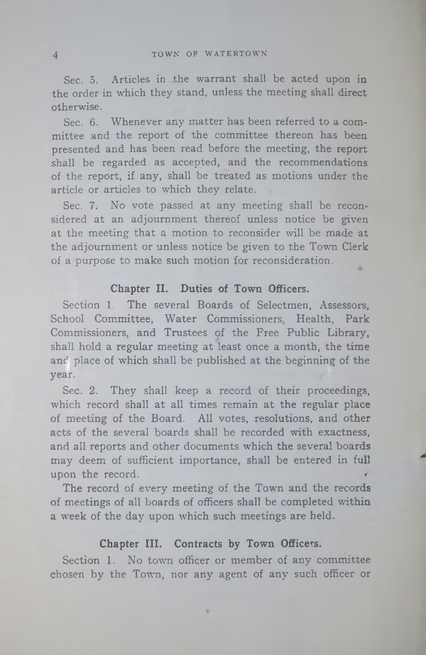Sec. 5. Articles in the warrant shall be acted upon in the order in which they stand, unless the meeting shall direct otherwise.

Sec. 6. Whenever any matter has been referred to a committee and the report of the committee thereon has been presented and has been read before the meeting, the report shall be regarded as accepted, and the recommendations of the report, if any, shall be treated as motions under the article or articles to which they relate.

Sec. 7. No vote passed at any meeting shall be reconsidered at an adjournment thereof unless notice be given at the meeting that a motion to reconsider will be made at the adjournment or unless notice be given to the Town Clerk of a purpose to make such motion for reconsideration.

#### **Chapter II. Duties of Town Officers.**

Section 1. The several Boards of Selectmen, Assessors, School Committee, Water Commissioners, Health, Park Commissioners, and Trustees of the Free Public Library, shall hold a regular meeting at least once a month, the time and place of which shall be published at the beginning of the year.

Sec. 2. They shall keep a record of their proceedings, which record shall at all times remain at the regular place of meeting of the Board. All votes, resolutions, and other acts of the several boards shall be recorded with exactness, and all reports and other documents which the several boards may deem of sufficient importance, shall be entered in full upon the record.

The record of every meeting of the Town and the records of meetings of all boards of officers shall be completed within a week of the day upon which such meetings are held.

# **Chapter III. Contracts by Town Officers.**

Section 1. No town officer or member of any committee chosen by the Town, nor any agent of any such officer or

×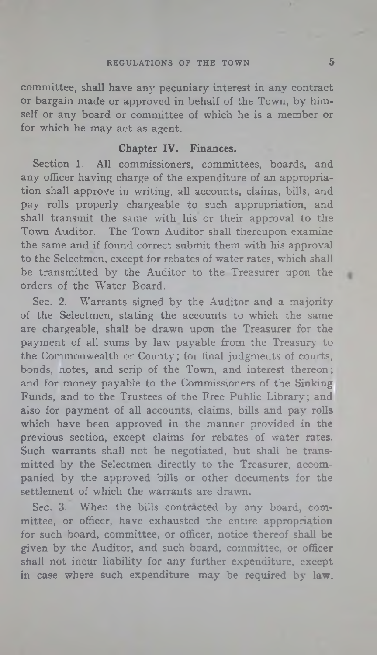#### REGULATIONS OF THE TOWN **5**

committee, shall have any pecuniary interest in any contract or bargain made or approved in behalf of the Town, by himself or any board or committee of which he is a member or for which he may act as agent.

# **Chapter IV. Finances.**

Section 1. All commissioners, committees, boards, and any officer having charge of the expenditure of an appropriation shall approve in writing, all accounts, claims, bills, and pay rolls properly chargeable to such appropriation, and shall transmit the same with his or their approval to the Town Auditor. The Town Auditor shall thereupon examine the same and if found correct submit them with his approval to the Selectmen, except for rebates of water rates, which shall be transmitted by the Auditor to the Treasurer upon the orders of the Water Board.

Sec. 2. Warrants signed by the Auditor and a majority of the Selectmen, stating the accounts to which the same are chargeable, shall be drawn upon the Treasurer for the payment of all sums by law payable from the Treasury to the Commonwealth or County; for final judgments of courts, bonds, notes, and scrip of the Town, and interest thereon; and for money payable to the Commissioners of the Sinking Funds, and to the Trustees of the Free Public Library; and also for payment of all accounts, claims, bills and pay rolls which have been approved in the manner provided in the previous section, except claims for rebates of water rates. Such warrants shall not be negotiated, but shall be transmitted by the Selectmen directly to the Treasurer, accompanied by the approved bills or other documents for the settlement of which the warrants are drawn.

Sec. 3. When the bills contracted by any board, committee, or officer, have exhausted the entire appropriation for such board, committee, or officer, notice thereof shall be given by the Auditor, and such board, committee, or officer shall not incur liability for any further expenditure, except in case where such expenditure may be required by law, ٠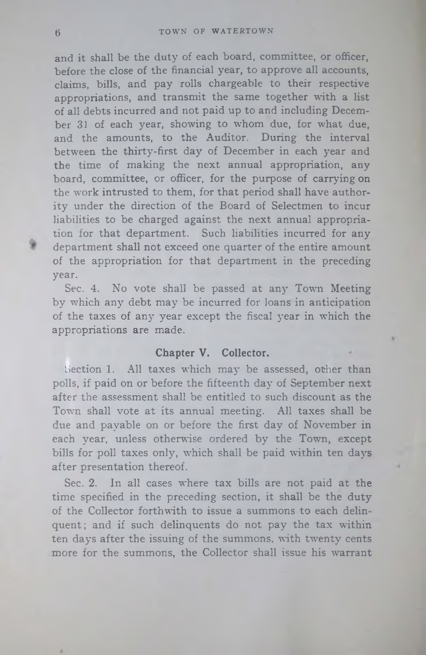and it shall be the duty of each board, committee, or officer, before the close of the financial year, to approve all accounts, claims, bills, and pay rolls chargeable to their respective appropriations, and transmit the same together with a list of all debts incurred and not paid up to and including December 31 of each year, showing to whom due, for what due, and the amounts, to the Auditor. During the interval between the thirty-first day of December in each year and the time of making the next annual appropriation, any board, committee, or officer, for the purpose of carrying on the work intrusted to them, for that period shall have authority under the direction of the Board of Selectmen to incur liabilities to be charged against the next annual appropriation for that department. Such liabilities incurred for any department shall not exceed one quarter of the entire amount of the appropriation for that department in the preceding year.

Sec. 4. No vote shall be passed at any Town Meeting by which any debt may be incurred for loans in anticipation of the taxes of any year except the fiscal year in which the appropriations are made.

#### **Chapter V. Collector.**

Section 1. All taxes which may be assessed, other than polls, if paid on or before the fifteenth day of September next after the assessment shall be entitled to such discount as the Town shall vote at its annual meeting. All taxes shall be due and payable on or before the first day of November in each year, unless otherwise ordered by the Town, except bills for poll taxes only, which shall be paid within ten days after presentation thereof.

Sec. 2. In all cases where tax bills are not paid at the time specified in the preceding section, it shall be the duty of the Collector forthwith to issue a summons to each delinquent; and if such delinquents do not pay the tax within ten days after the issuing of the summons, with twenty cents more for the summons, the Collector shall issue his warrant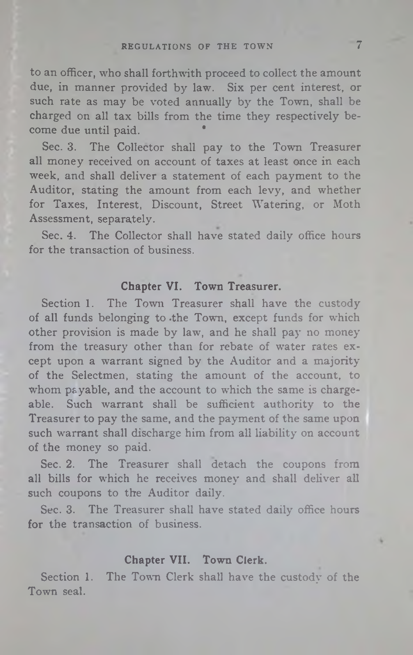#### REGULATIONS OF THE TOWN 7

to an officer, who shall forthwith proceed to collect the amount due, in manner provided by law. Six per cent interest, or such rate as may be voted annually by the Town, shall be charged on all tax bills from the time they respectively become due until paid. \*

Sec. 3. The Collector shall pay to the Town Treasurer all money received on account of taxes at least once in each week, and shall deliver a statement of each payment to the Auditor, stating the amount from each levy, and whether for Taxes, Interest, Discount, Street Watering, or Moth Assessment, separately.

Sec. 4. The Collector shall have stated daily office hours for the transaction of business.

#### **Chapter VI. Town Treasurer.**

Section 1. The Town Treasurer shall have the custody of all funds belonging to .the Town, except funds for which other provision is made by law, and he shall pay no money from the treasury other than for rebate of water rates except upon a warrant signed by the Auditor and a majority of the Selectmen, stating the amount of the account, to whom payable, and the account to which the same is chargeable. Such warrant shall be sufficient authority to the Treasurer to pay the same, and the payment of the same upon such warrant shall discharge him from all liability on account of the money so paid.

Sec. 2. The Treasurer shall detach the coupons from all bills for which he receives money and shall deliver all such coupons to the Auditor daily.

Sec. 3. The Treasurer shall have stated daily office hours for the transaction of business.

#### **Chapter VII. Town Clerk.**

Section 1. The Town Clerk shall have the custody of the Town seal.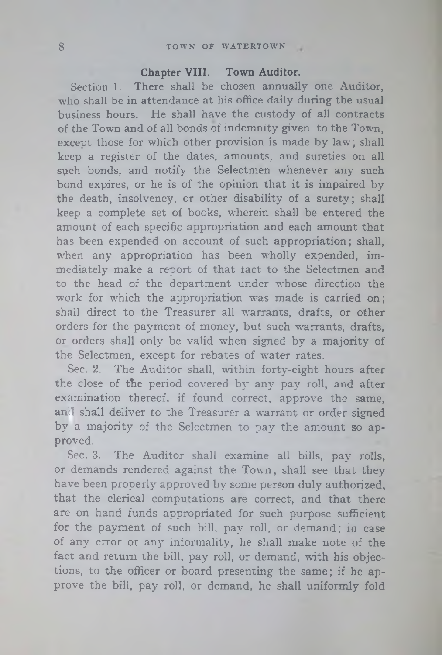#### S TOWN OF WATERTOWN

# **Chapter VIII. Town Auditor.**

Section 1. There shall be chosen annually one Auditor, who shall be in attendance at his office daily during the usual business hours. He shall have the custody of all contracts of the Town and of all bonds of indemnity given to the Town, except those for which other provision is made by law; shall keep a register of the dates, amounts, and sureties on all sych bonds, and notify the Selectmen whenever any such bond expires, or he is of the opinion that it is impaired by the death, insolvency, or other disability of a surety; shall keep a complete set of books, wherein shall be entered the amount of each specific appropriation and each amount that has been expended on account of such appropriation; shall, when any appropriation has been wholly expended, immediately make a report of that fact to the Selectmen and to the head of the department under whose direction the work for which the appropriation was made is carried on; shall direct to the Treasurer all warrants, drafts, or other orders for the payment of money, but such warrants, drafts, or orders shall only be valid when signed by a majority of the Selectmen, except for rebates of water rates.

Sec. 2. The Auditor shall, within forty-eight hours after the close of the period covered by any pay roll, and after examination thereof, if found correct, approve the same, and shall deliver to the Treasurer a warrant or order signed by a majority of the Selectmen to pay the amount so approved.

Sec. 3. The Auditor shall examine all bills, pay rolls, or demands rendered against the Town; shall see that they have been properly approved by some person duly authorized, that the clerical computations are correct, and that there are on hand funds appropriated for such purpose sufficient for the payment of such bill, pay roll, or demand; in case of any error or any informality, he shall make note of the fact and return the bill, pay roll, or demand, with his objections, to the officer or board presenting the same; if he approve the bill, pay roll, or demand, he shall uniformly fold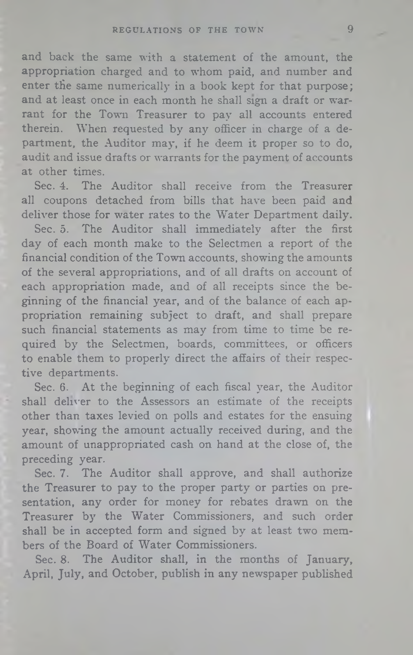and back the same with a statement of the amount, the appropriation charged and to whom paid, and number and enter the same numerically in a book kept for that purpose; and at least once in each month he shall sign a draft or warrant for the Town Treasurer to pay all accounts entered therein. When requested by any officer in charge of a department, the Auditor may, if he deem it proper so to do, audit and issue drafts or warrants for the payment of accounts at other times.

Sec. 4. The Auditor shall receive from the Treasurer all coupons detached from bills that have been paid and deliver those for water rates to the Water Department daily.

Sec. 5. The Auditor shall immediately after the first day of each month make to the Selectmen a report of the financial condition of the Town accounts, showing the amounts of the several appropriations, and of all drafts on account of each appropriation made, and of all receipts since the beginning of the financial year, and of the balance of each appropriation remaining subject to draft, and shall prepare such financial statements as may from time to time be required by the Selectmen, boards, committees, or officers to enable them to properly direct the affairs of their respective departments.

Sec. 6. At the beginning of each fiscal year, the Auditor shall deliver to the Assessors an estimate of the receipts other than taxes levied on polls and estates for the ensuing year, showing the amount actually received during, and the amount of unappropriated cash on hand at the close of, the preceding year.

Sec. 7. The Auditor shall approve, and shall authorize the Treasurer to pay to the proper party or parties on presentation, any order for money for rebates drawn on the Treasurer by the Water Commissioners, and such order shall be in accepted form and signed by at least two members of the Board of Water Commissioners.

Sec. 8. The Auditor shall, in the months of January, April, July, and October, publish in any newspaper published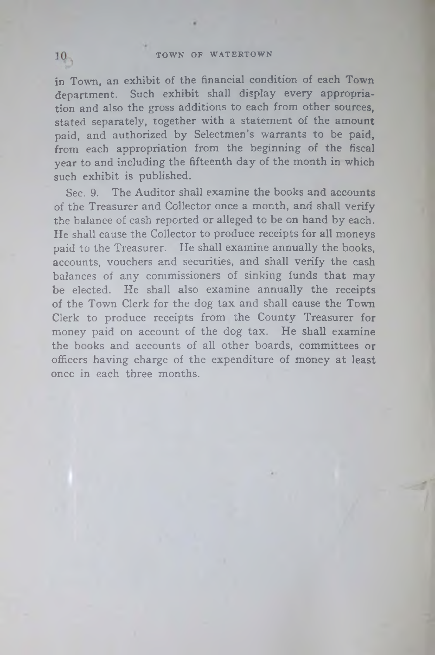in Town, an exhibit of the financial condition of each Town department. Such exhibit shall display every appropriation and also the gross additions to each from other sources, stated separately, together with a statement of the amount paid, and authorized by Selectmen's warrants to be paid, from each appropriation from the beginning of the fiscal year to and including the fifteenth day of the month in which such exhibit is published.

Sec. 9. The Auditor shall examine the books and accounts of the Treasurer and Collector once a month, and shall verify the balance of cash reported or alleged to be on hand by each. He shall cause the Collector to produce receipts for all moneys paid to the Treasurer. He shall examine annually the books, accounts, vouchers and securities, and shall verify the cash balances of any commissioners of sinking funds that may be elected. He shall also examine annually the receipts of the Town Clerk for the dog tax and shall cause the Town Clerk to produce receipts from the County Treasurer for money paid on account of the dog tax. He shall examine the books and accounts of all other boards, committees or officers having charge of the expenditure of money at least once in each three months.

 $10<sub>1</sub>$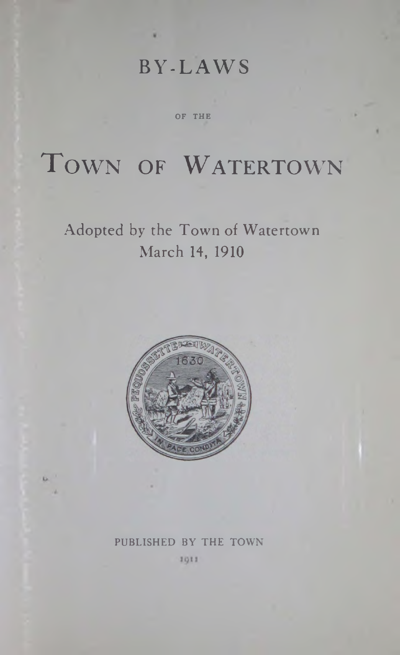# BY-LAWS

OF THE

# TOWN OF WATERTOWN

# Adopted by the Town of Watertown March 14, 1910



# PUBLISHED BY THE TOWN

1911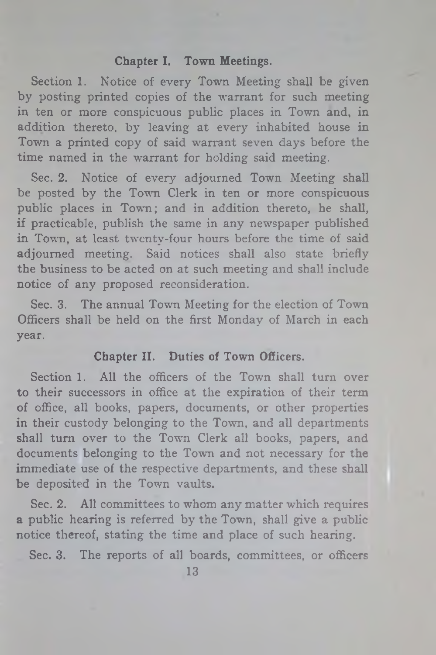# Chapter I. Town Meetings.

Section 1. Notice of every Town Meeting shall be given by posting printed copies of the warrant for such meeting in ten or more conspicuous public places in Town and, in addition thereto, by leaving at every inhabited house in Town a printed copy of said warrant seven days before the time named in the warrant for holding said meeting.

Sec. 2. Notice of every adjourned Town Meeting shall be posted by the Town Clerk in ten or more conspicuous public places in Town; and in addition thereto, he shall, if practicable, publish the same in any newspaper published in Town, at least twenty-four hours before the time of said adjourned meeting. Said notices shall also state briefly the business to be acted on at such meeting and shall include notice of any proposed reconsideration.

Sec. 3. The annual Town Meeting for the election of Town Officers shall be held on the first Monday of March in each year.

# Chapter II. Duties of Town Officers.

Section 1. All the officers of the Town shall turn over to their successors in office at the expiration of their term of office, all books, papers, documents, or other properties in their custody belonging to the Town, and all departments shall turn over to the Town Clerk all books, papers, and documents belonging to the Town and not necessary for the immediate use of the respective departments, and these shall be deposited in the Town vaults.

Sec. 2. All committees to whom any matter which requires a public hearing is referred by the Town, shall give a public notice thereof, stating the time and place of such hearing.

Sec. 3. The reports of all boards, committees, or officers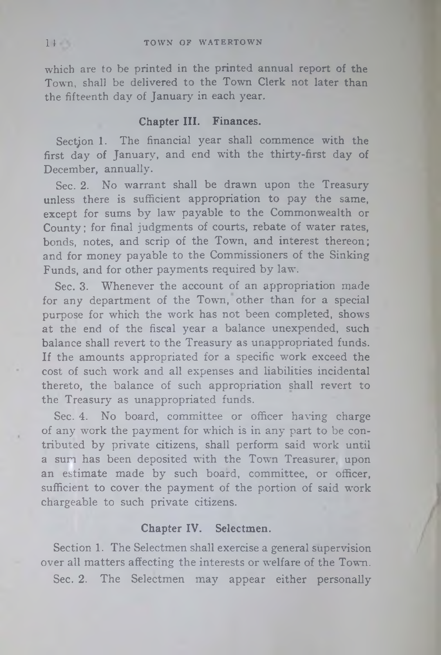which are to be printed in the printed annual report of the Town, shall be delivered to the Town Clerk not later than the fifteenth day of January in each year.

# **Chapter III. Finances.**

Section 1. The financial year shall commence with the first day of January, and end with the thirty-first day of December, annually.

Sec. 2. No warrant shall be drawn upon the Treasury unless there is sufficient appropriation to pay the same, except for sums by law payable to the Commonwealth or County; for final judgments of courts, rebate of water rates, bonds, notes, and scrip of the Town, and interest thereon; and for money payable to the Commissioners of the Sinking Funds, and for other payments required by law.

Sec. 3. Whenever the account of an appropriation made for any department of the Town, other than for a special purpose for which the work has not been completed, shows at the end of the fiscal year a balance unexpended, such balance shall revert to the Treasury as unappropriated funds. If the amounts appropriated for a specific work exceed the cost of such work and all expenses and liabilities incidental thereto, the balance of such appropriation shall revert to the Treasury as unappropriated funds.

Sec. 4. No board, committee or officer having charge of any work the payment for which is in any part to be contributed by private citizens, shall perform said work until a sun has been deposited with the Town Treasurer, upon an estimate made by such board, committee, or officer, sufficient to cover the payment of the portion of said work chargeable to such private citizens.

#### **Chapter IV. Selectmen.**

Section 1. The Selectmen shall exercise a general supervision over all matters affecting the interests or welfare of the Town. Sec. 2. The Selectmen may appear either personally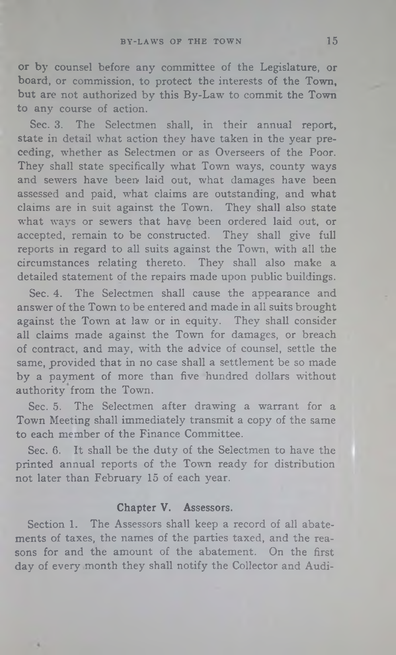**or** by counsel before any committee of the Legislature, **or** board, or commission, to protect the interests of the Town, but are not authorized by this By-Law to commit the Town to any course of action.

Sec. 3. The Selectmen shall, in their annual report, state in detail what action they have taken in the year preceding, whether as Selectmen or as Overseers of the Poor. They shall state specifically what Town ways, county ways and sewers have been laid out, what damages have been assessed and paid, what claims are outstanding, and what claims are in suit against the Town. They shall also state what ways or sewers that have been ordered laid out, or accepted, remain to be constructed. They shall give full reports in regard to all suits against the Town, with all the circumstances relating thereto. They shall also make a detailed statement of the repairs made upon public buildings.

Sec. 4. The Selectmen shall cause the appearance and answer of the Town to be entered and made in all suits brought against the Town at law or in equity. They shall consider all claims made against the Town for damages, or breach of contract, and may, with the advice of counsel, settle the same, provided that in no case shall a settlement be so made by a payment of more than five hundred dollars without authority from the Town.

Sec. 5. The Selectmen after drawing a warrant for a Town Meeting shall immediately transmit a copy of the same to each member of the Finance Committee.

Sec. 6. It shall be the duty of the Selectmen to have the printed annual reports of the Town ready for distribution not later than February 15 of each year.

#### Chapter V. Assessors.

Section 1. The Assessors shall keep a record of all abatements of taxes, the names of the parties taxed, and the reasons for and the amount of the abatement. On the first day of every month they shall notify the Collector and Audi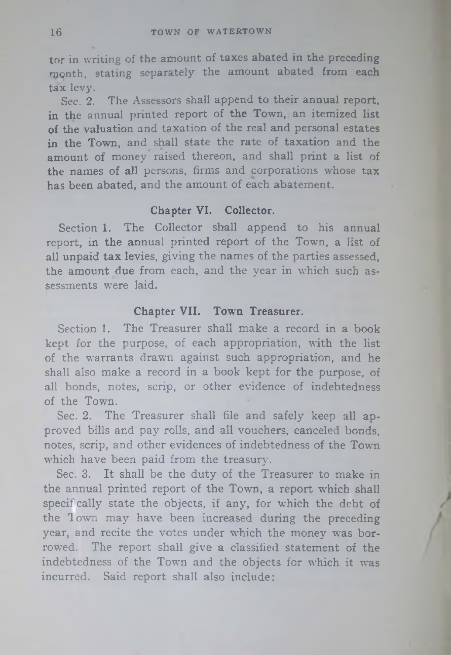tor in writing of the amount of taxes abated in the preceding month, stating separately the amount abated from each tax levy.

Sec. 2. The Assessors shall append to their annual report, in the annual printed report of the Town, an itemized list of the valuation and taxation of the real and personal estates in the Town, and shall state the rate of taxation and the amount of money raised thereon, and shall print a list of the names of all persons, firms and corporations whose tax has been abated, and the amount of each abatement.

#### **Chapter VI. Collector.**

Section 1. The Collector shall append to his annual report, in the annual printed report of the Town, a list of all unpaid tax levies, giving the names of the parties assessed, the amount due from each, and the year in which such assessments were laid.

## **Chapter VII. Town Treasurer.**

Section 1. The Treasurer shall make a record in a book kept for the purpose, of each appropriation, with the list of the warrants drawn against such appropriation, and he shall also make a record in a book kept for the purpose, of all bonds, notes, scrip, or other evidence of indebtedness of the Town.

Sec. 2. The Treasurer shall file and safely keep all approved bills and pay rolls, and all vouchers, canceled bonds, notes, scrip, and other evidences of indebtedness of the Town which have been paid from the treasury.

Sec. 3. It shall be the duty of the Treasurer to make in the annual printed report of the Town, a report which shall specifcally state the objects, if any, for which the debt of the Town may have been increased during the preceding year, and recite the votes under which the money was borrowed. The report shall give a classified statement of the indebtedness of the Town and the objects for which it was incurred. Said report shall also include: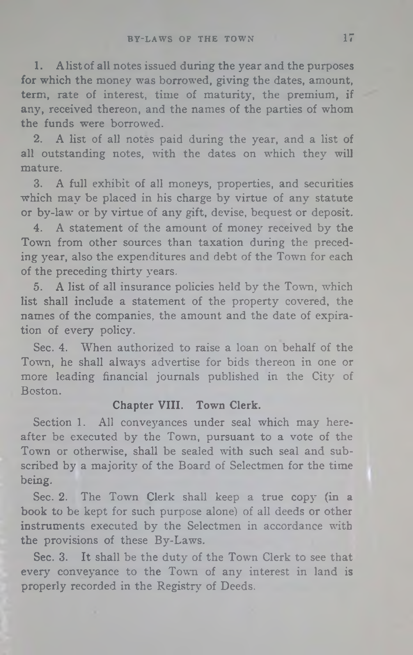1. A list of all notes issued during the year and the purposes for which the money was borrowed, giving the dates, amount, term, rate of interest, time of maturity, the premium, if any, received thereon, and the names of the parties of whom the funds were borrowed.

2. A list of all notes paid during the year, and a list of all outstanding notes, with the dates on which they will mature.

3. A full exhibit of all moneys, properties, and securities which may be placed in his charge by virtue of any statute or by-law or by virtue of any gift, devise, bequest or deposit.

4. A statement of the amount of money received by the Town from other sources than taxation during the preceding year, also the expenditures and debt of the Town for each of the preceding thirty years.

5. A list of all insurance policies held by the Town, which list shall include a statement of the property covered, the names of the companies, the amount and the date of expiration of every policy.

Sec. 4. When authorized to raise a loan on behalf of the Town, he shall always advertise for bids thereon in one or more leading financial journals published in the City of Boston.

# Chapter **VIII.** Town Clerk.

Section 1. All conveyances under seal which may hereafter be executed by the Town, pursuant to a vote of the Town or otherwise, shall be sealed with such seal and subscribed by a majority of the Board of Selectmen for the time being.

Sec. 2. The Town Clerk shall keep a true copy (in a book to be kept for such purpose alone) of all deeds or other instruments executed by the Selectmen in accordance with the provisions of these By-Laws.

Sec. 3. It shall be the duty of the Town Clerk to see that every conveyance to the Town of any interest in land is properly recorded in the Registry of Deeds.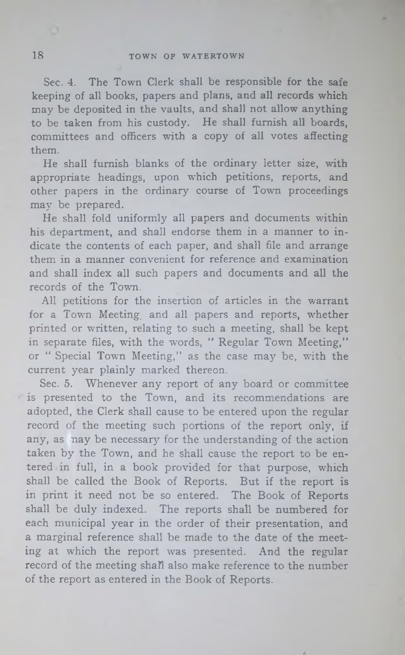Sec. 4. The Town Clerk shall be responsible for the safe keeping of all books, papers and plans, and all records which may be deposited in the vaults, and shall not allow anything to be taken from his custody. He shall furnish all boards, committees and officers with a copy of all votes affecting them.

He shall furnish blanks of the ordinary letter size, with appropriate headings, upon which petitions, reports, and other papers in the ordinary course of Town proceedings may be prepared.

He shall fold uniformly all papers and documents within his department, and shall endorse them in a manner to indicate the contents of each paper, and shall file and arrange them in a manner convenient for reference and examination and shall index all such papers and documents and all the records of the Town.

All petitions for the insertion of articles in the warrant for a Town Meeting, and all papers and reports, whether printed or written, relating to such a meeting, shall be kept in separate files, with the words, "Regular Town Meeting," or " Special Town Meeting," as the case may be, with the current year plainly marked thereon.

Sec. 5. Whenever any report of any board or committee is presented to the Town, and its recommendations are adopted, the Clerk shall cause to be entered upon the regular record of the meeting such portions of the report only, if any, as nay be necessary for the understanding of the action taken by the Town, and he shall cause the report to be entered in full, in a book provided for that purpose, which shall be called the Book of Reports. But if the report is in print it need not be so entered. The Book of Reports shall be duly indexed. The reports shall be numbered for each municipal year in the order of their presentation, and a marginal reference shall be made to the date of the meeting at which the report was presented. And the regular record of the meeting shall also make reference to the number of the report as entered in the Book of Reports.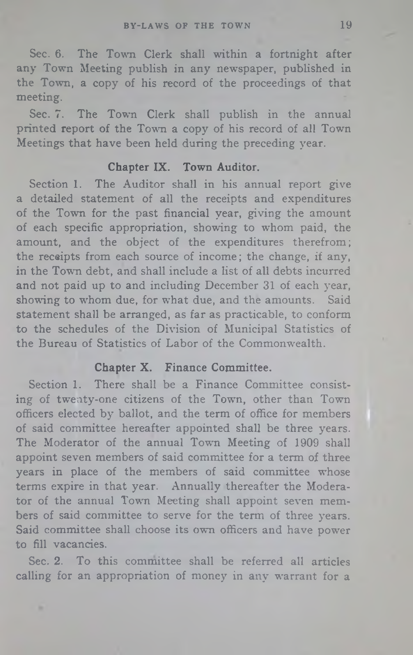Sec. 6. The Town Clerk shall within a fortnight after **any** Town Meeting publish in any newspaper, published in the Town, a copy of his record of the proceedings of that meeting.

Sec. 7. The Town Clerk shall publish in the annual printed report of the Town a copy of his record of all Town Meetings that have been held during the preceding year.

#### **Chapter IX. Town Auditor.**

Section 1. The Auditor shall in his annual report give a detailed statement of all the receipts and expenditures of the Town for the past financial year, giving the amount of each specific appropriation, showing to whom paid, the amount, and the object of the expenditures therefrom; the receipts from each source of income; the change, if any, in the Town debt, and shall include a list of all debts incurred and not paid up to and including December 31 of each year, showing to whom due, for what due, and the amounts. Said statement shall be arranged, as far as practicable, to conform to the schedules of the Division of Municipal Statistics of the Bureau of Statistics of Labor of the Commonwealth.

# **Chapter X. Finance Committee.**

Section 1. There shall be a Finance Committee consisting of twenty-one citizens of the Town, other than Town officers elected by ballot, and the term of office for members of said committee hereafter appointed shall be three years. The Moderator of the annual Town Meeting of 1909 shall appoint seven members of said committee for a term of three years in place of the members of said committee whose terms expire in that year. Annually thereafter the Moderator of the annual Town Meeting shall appoint seven members of said committee to serve for the term of three years. Said committee shall choose its own officers and have power to fill vacancies.

Sec. 2. To this committee shall be referred all articles calling for an appropriation of money in any warrant for a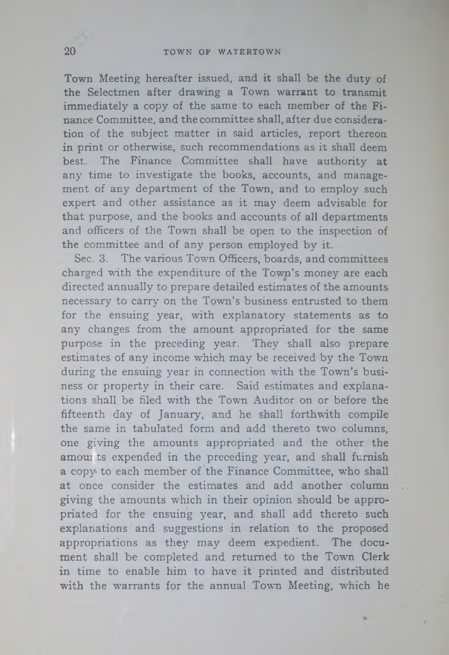Town Meeting hereafter issued, and it shall be the duty of the Selectmen after drawing a Town warrant to transmit immediately a copy of the same to each member of the Finance Committee, and the committee shall, after due consideration of the subject matter in said articles, report thereon in print or otherwise, such recommendations as it shall deem best. The Finance Committee shall have authority at any time to investigate the books, accounts, and management of any department of the Town, and to employ such expert and other assistance as it may deem advisable for that purpose, and the books and accounts of all departments and officers of the Town shall be open to the inspection of the committee and of any person employed by it.

Sec. 3. The various Town Officers, boards, and committees charged with the expenditure of the Town's money are each directed annually to prepare detailed estimates of the amounts necessary to carry on the Town's business entrusted to them for the ensuing year, with explanatory statements as to any changes from the amount appropriated for the same purpose in the preceding year. They shall also prepare estimates of any income which may be received by the Town during the ensuing year in connection with the Town's business or property in their care. Said estimates and explanations shall be filed with the Town Auditor on or before the fifteenth day of January, and he shall forthwith compile the same in tabulated form and add thereto two columns, one giving the amounts appropriated and the other the amoui ts expended in the preceding year, and shall furnish a copy to each member of the Finance Committee, who shall at once consider the estimates and add another column giving the amounts which in their opinion should be appropriated for the ensuing year, and shall add thereto such explanations and suggestions in relation to the proposed appropriations as they may deem expedient. The document shall be completed and returned to the Town Clerk in time to enable him to have it printed and distributed with the warrants for the annual Town Meeting, which he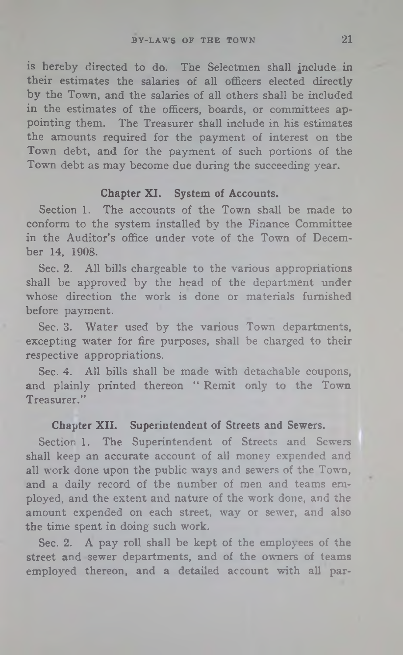**is** hereby directed to do. The Selectmen shall jnclude **in** their estimates the salaries of all officers elected directly **by** the Town, and the salaries of all others shall be included **in** the estimates of the officers, boards, or committees appointing them. The Treasurer shall include in his estimates the amounts required for the payment of interest on the Town debt, and for the payment of such portions of the Town debt as may become due during the succeeding year.

# **Chapter XI. System of Accounts.**

Section 1. The accounts of the Town shall be made to conform to the system installed by the Finance Committee in the Auditor's office under vote of the Town of December 14, 1908.

Sec. 2. All bills chargeable to the various appropriations shall be approved by the head of the department under whose direction the work is done or materials furnished before payment.

Sec. 3. Water used by the various Town departments, excepting water for fire purposes, shall be charged to their respective appropriations.

Sec. 4. All bills shall be made with detachable coupons, and plainly printed thereon " Remit only to the Town Treasurer."

#### **Chapter XII. Superintendent of Streets and Sewers.**

Section 1. The Superintendent of Streets and Sewers shall keep an accurate account of all money expended and all work done upon the public ways and sewers of the Town, and a daily record of the number of men and teams employed, and the extent and nature of the work done, and the amount expended on each street, way or sewer, and also the time spent in doing such work.

Sec. 2. A pay roll shall be kept of the employees of the street and sewer departments, and of the owners of teams employed thereon, and a detailed account with all par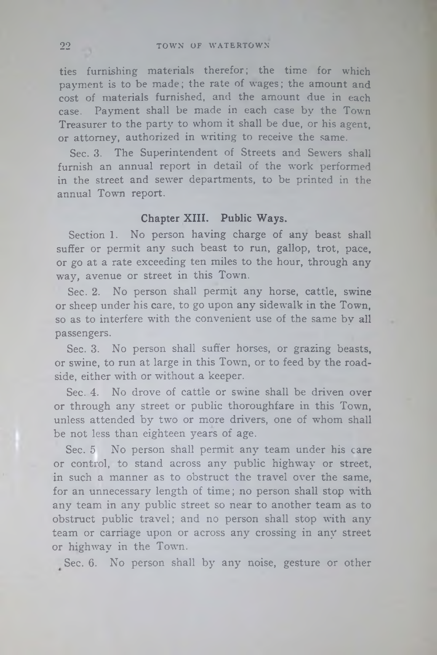ties furnishing materials therefor; the time for which payment is to be made; the rate of wages; the amount and cost of materials furnished, and the amount due in each case. Payment shall be made in each case by the Town Treasurer to the party to whom it shall be due, or his agent, or attorney, authorized in writing to receive the same.

Sec. 3. The Superintendent of Streets and Sewers shall furnish an annual report in detail of the work performed in the street and sewer departments, to be printed in the annual Town report.

#### **Chapter XIII. Public Ways.**

Section 1. No person having charge of any beast shall suffer or permit any such beast to run, gallop, trot, pace, or go at a rate exceeding ten miles to the hour, through any way, avenue or street in this Town.

Sec. 2. No person shall permit any horse, cattle, swine or sheep under his care, to go upon any sidewalk in the Town, so as to interfere with the convenient use of the same by all passengers.

Sec. 3. No person shall suffer horses, or grazing beasts, or swine, to run at large in this Town, or to feed by the roadside, either with or without a keeper.

Sec. 4. No drove of cattle or swine shall be driven over or through any street or public thoroughfare in this Town, unless attended by two or more drivers, one of whom shall be not less than eighteen years of age.

Sec. 5 No person shall permit any team under his care or control, to stand across any public highway or street, in such a manner as to obstruct the travel over the same, for an unnecessary length of time; no person shall stop with any team in any public street so near to another team as to obstruct public travel; and no person shall stop with any team or carriage upon or across any crossing in any street or highway in the Towm.

Sec. 6. No person shall by any noise, gesture or other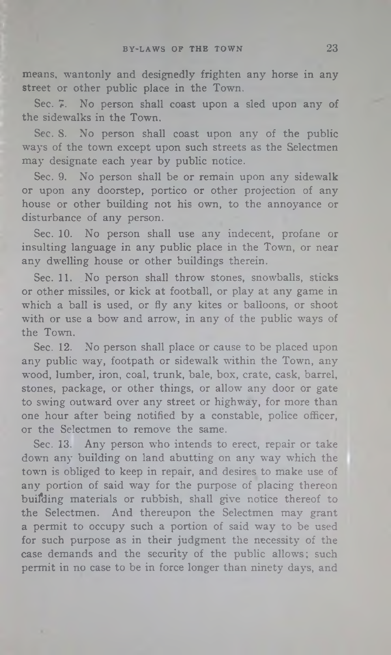means, wantonly and designedly frighten any horse in any street or other public place in the Town.

Sec. 7. No person shall coast upon a sled upon any of the sidewalks in the Town.

Sec. 8. No person shall coast upon any of the public ways of the town except upon such streets as the Selectmen may designate each year by public notice.

Sec. 9. No person shall be or remain upon any sidewalk or upon any doorstep, portico or other projection of any house or other building not his own, to the annoyance or disturbance of any person.

Sec. 10. No person shall use any indecent, profane or insulting language in any public place in the Town, or near any dwelling house or other buildings therein.

Sec. 11. No person shall throw stones, snowballs, sticks or other missiles, or kick at football, or play at any game in which a ball is used, or fly any kites or balloons, or shoot with or use a bow and arrow, in any of the public ways of the Town.

Sec. 12. No person shall place or cause to be placed upon any public way, footpath or sidewalk within the Town, any wood, lumber, iron, coal, trunk, bale, box, crate, cask, barrel, stones, package, or other things, or allow any door or gate to swing outward over any street or highway, for more than one hour after being notified by a constable, police officer, or the Selectmen to remove the same.

Sec. 13. Any person who intends to erect, repair or take down any building on land abutting on any way which the town is obliged to keep in repair, and desires to make use of any portion of said way for the purpose of placing thereon buifding materials or rubbish, shall give notice thereof to the Selectmen. And thereupon the Selectmen may grant a permit to occupy such a portion of said way to be used for such purpose as in their judgment the necessity of the case demands and the security of the public allows; such permit in no case to be in force longer than ninety days, and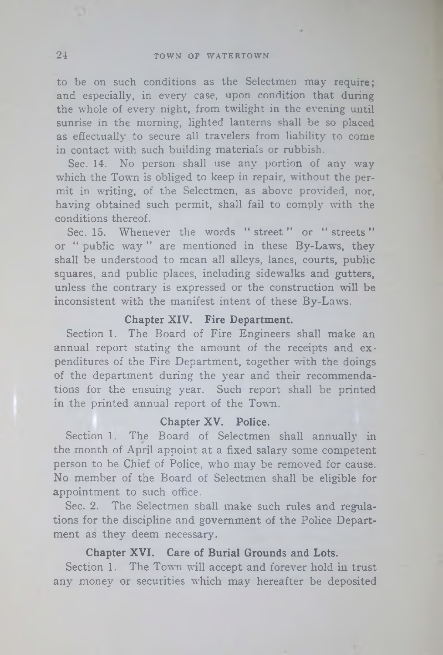to be on such conditions as the Selectmen may require; and especially, in every case, upon condition that during the whole of every night, from twilight in the evening until sunrise in the morning, lighted lanterns shall be so placed as effectually to secure all travelers from liability to come in contact with such building materials or rubbish.

Sec. 14. No person shall use any portion of any way which the Town is obliged to keep in repair, without the permit in writing, of the Selectmen, as above provided, nor, having obtained such permit, shall fail to comply with the conditions thereof.

Sec. 15. Whenever the words " street " or " streets" or " public way " are mentioned in these By-Laws, they shall be understood to mean all alleys, lanes, courts, public squares, and public places, including sidewalks and gutters, unless the contrary is expressed or the construction will be inconsistent with the manifest intent of these By-Laws.

# **Chapter XIV. Fire Department.**

Section 1. The Board of Fire Engineers shall make an annual report stating the amount of the receipts and expenditures of the Fire Department, together with the doings of the department during the year and their recommendations for the ensuing year. Such report shall be printed in the printed annual report of the Town.

# **Chapter XV. Police.**

Section 1. The Board of Selectmen shall annually in the month of April appoint at a fixed salary some competent person to be Chief of Police, who may be removed for cause. No member of the Board of Selectmen shall be eligible for appointment to such office.

Sec. 2. The Selectmen shall make such rules and regulations for the discipline and government of the Police Department as they deem necessary.

#### **Chapter XVI. Care of Burial Grounds and Lots.**

Section 1. The Town will accept and forever hold in trust any money or securities which may hereafter be deposited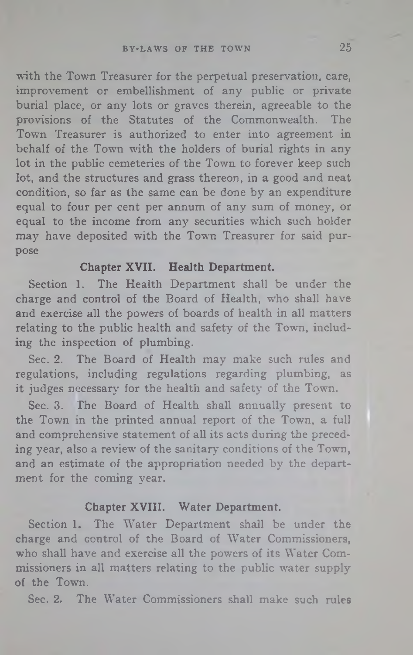with the Town Treasurer for the perpetual preservation, care, improvement or embellishment of any public or private burial place, or any lots or graves therein, agreeable to the provisions of the Statutes of the Commonwealth. The Town Treasurer is authorized to enter into agreement in behalf of the Town with the holders of burial rights in any lot in the public cemeteries of the Town to forever keep such lot, and the structures and grass thereon, in a good and neat condition, so far as the same can be done by an expenditure equal to four per cent per annum of any sum of money, or equal to the income from any securities which such holder may have deposited with the Town Treasurer for said purpose

#### **Chapter XVII. Health Department.**

Section 1. The Health Department shall be under the charge and control of the Board of Health, who shall have and exercise all the powers of boards of health in all matters relating to the public health and safety of the Town, including the inspection of plumbing.

Sec. 2. The Board of Health may make such rules and regulations, including regulations regarding plumbing, as it judges necessary for the health and safety of the Town.

Sec. 3. The Board of Health shall annually present to the Town in the printed annual report of the Town, a full and comprehensive statement of all its acts during the preceding year, also a review of the sanitary conditions of the Town, and an estimate of the appropriation needed by the department for the coming year.

#### **Chapter XVIII. Water Department.**

Section 1. The Water Department shall be under the charge and control of the Board of Water Commissioners, who shall have and exercise all the powers of its Water Commissioners in all matters relating to the public water supply of the Town.

Sec. 2. The Water Commissioners shall make such rules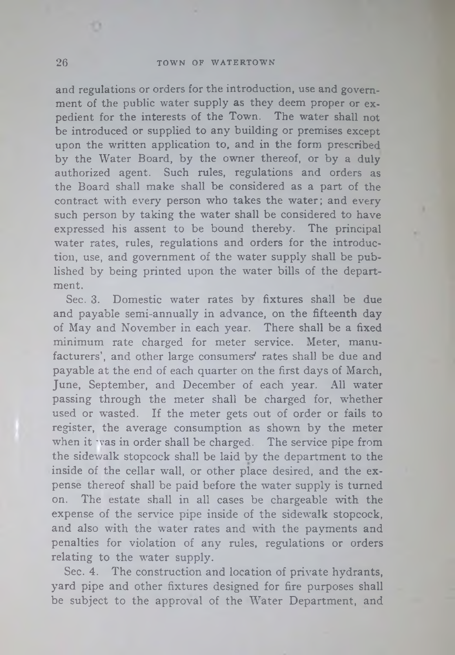#### 26 TOWN OF WATERTOWN

and regulations or orders for the introduction, use and government of the public water supply as they deem proper or expedient for the interests of the Town. The water shall not be introduced or supplied to any building or premises except upon the written application to, and in the form prescribed by the Water Board, by the owner thereof, or by a duly authorized agent. Such rules, regulations and orders as the Board shall make shall be considered as a part of the contract with every person who takes the water; and every such person by taking the water shall be considered to have expressed his assent to be bound thereby. The principal water rates, rules, regulations and orders for the introduction, use, and government of the water supply shall be published by being printed upon the water bills of the department.

Sec. 3. Domestic water rates by fixtures shall be due and payable semi-annually in advance, on the fifteenth day of May and November in each year. There shall be a fixed minimum rate charged for meter service. Meter, manufacturers', and other large consumers' rates shall be due and payable at the end of each quarter on the first days of March, June, September, and December of each year. All water passing through the meter shall be charged for, whether used or wasted. If the meter gets out of order or fails to register, the average consumption as shown by the meter when it was in order shall be charged. The service pipe from the sidewalk stopcock shall be laid by the department to the inside of the cellar wall, or other place desired, and the expense thereof shall be paid before the water supply is turned on. The estate shall in all cases be chargeable with the expense of the service pipe inside of the sidewalk stopcock, and also with the water rates and with the payments and penalties for violation of any rules, regulations or orders relating to the water supply.

Sec. 4. The construction and location of private hydrants, yard pipe and other fixtures designed for fire purposes shall be subject to the approval of the Water Department, and

o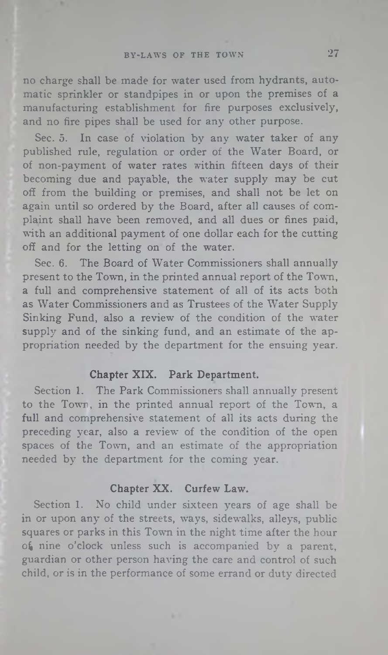# BY-LAWS OF THE TOWN 27

no charge shall be made for water used from hydrants, automatic sprinkler or standpipes in or upon the premises of a manufacturing establishment for fire purposes exclusively, and no fire pipes shall be used for any other purpose.

Sec. 5. In case of violation by any water taker of any published rule, regulation or order of the Water Board, or of non-payment of water rates within fifteen days of their becoming due and payable, the water supply may be cut off from the building or premises, and shall not be let on again until so ordered by the Board, after all causes of complaint shall have been removed, and all dues or fines paid, with an additional payment of one dollar each for the cutting off and for the letting on of the water.

Sec. 6. The Board of Water Commissioners shall annually present to the Town, in the printed annual report of the Town, a full and comprehensive statement of all of its acts both as Water Commissioners and as Trustees of the Water Supply Sinking Fund, also a review of the condition of the water supply and of the sinking fund, and an estimate of the appropriation needed by the department for the ensuing year.

#### **Chapter XIX. Park Department.**

Section 1. The Park Commissioners shall annually present to the Town, in the printed annual report of the Town, a full and comprehensive statement of all its acts during the preceding year, also a review of the condition of the open spaces of the Town, and an estimate of the appropriation needed by the department for the coming year.

## **Chapter XX. Curfew Law.**

Section 1. No child under sixteen years of age shall be in or upon any of the streets, ways, sidewalks, alleys, public squares or parks in this Town in the night time after the hour  $of$  nine o'clock unless such is accompanied by a parent, guardian or other person having the care and control of such child, or is in the performance of some errand or duty directed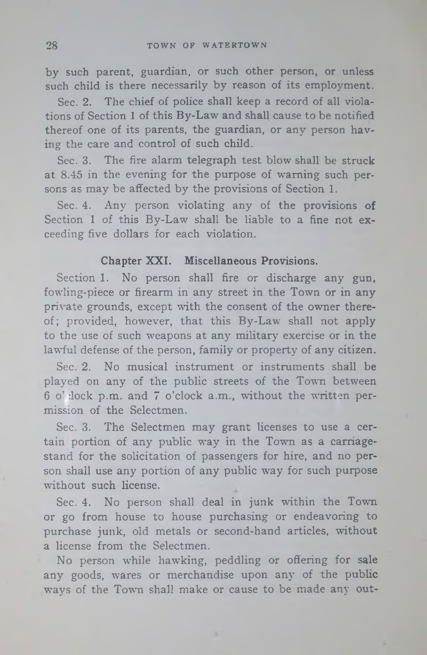by such parent, guardian, or such other person, or unless such child is there necessarily by reason of its employment.

Sec. 2. The chief of police shall keep a record of all violations of Section 1 of this By-Law and shall cause to be notified thereof one of its parents, the guardian, or any person having the care and control of such child.

Sec. 3. The fire alarm telegraph test blow shall be struck at 8.45 in the evening for the purpose of warning such persons as may be affected by the provisions of Section 1.

Sec. 4. Any person violating any of the provisions of Section 1 of this By-Law shall be liable to a fine not exceeding five dollars for each violation.

#### Chapter XXI. Miscellaneous Provisions.

Section 1. No person shall fire or discharge any gun, fowling-piece or firearm in any street in the Town or in any private grounds, except with the consent of the owner thereof; provided, however, that this By-Law shall not apply to the use of such weapons at any military exercise or in the lawful defense of the person, family or property of any citizen.

Sec. 2. No musical instrument or instruments shall be played on any of the public streets of the Town between 6 o' dock p.m. and 7 o'clock a.m., without the written permission of the Selectmen.

Sec. 3. The Selectmen may grant licenses to use a certain portion of any public way in the Town as a carriagestand for the solicitation of passengers for hire, and no person shall use any portion of any public way for such purpose without such license.

Sec. 4. No person shall deal in junk within the Town or go from house to house purchasing or endeavoring to purchase junk, old metals or second-hand articles, without a license from the Selectmen.

No person while hawking, peddling or offering for sale any goods, wares or merchandise upon any of the public ways of the Town shall make or cause to be made any out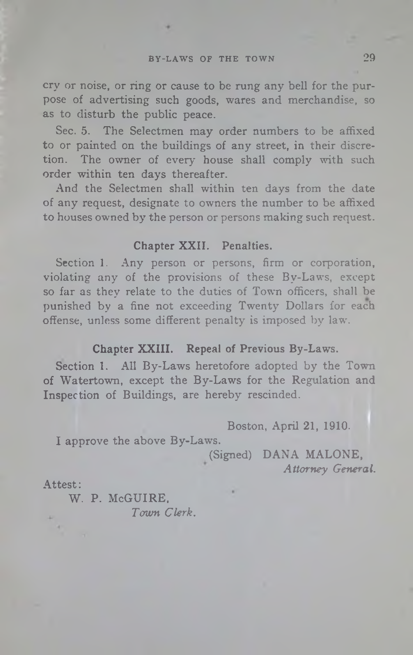cry or noise, or ring or cause to be rung any bell for the purpose of advertising such goods, wares and merchandise, so as to disturb the public peace.

Sec. 5. The Selectmen may order numbers to be affixed to or painted on the buildings of any street, in their discretion. The owner of every house shall comply with such order within ten days thereafter.

And the Selectmen shall within ten days from the date of any request, designate to owners the number to be affixed to houses owned by the person or persons making such request.

# **Chapter XXII. Penalties.**

Section 1. Any person or persons, firm or corporation, violating any of the provisions of these By-Laws, except so far as they relate to the duties of Town officers, shall be punished by a fine not exceeding Twenty Dollars for each offense, unless some different penalty is imposed by law.

# **Chapter XXIII. Repeal of Previous By-Laws.**

Section 1. All By-Laws heretofore adopted by the Town of Watertown, except the By-Laws for the Regulation and Inspection of Buildings, are hereby rescinded.

Boston, April 21, 1910.

I approve the above By-Laws.

(Signed) DANA MALONE, *Attorney General.*

#### Attest:

W. P. McGUIRE,

*Town Clerk.*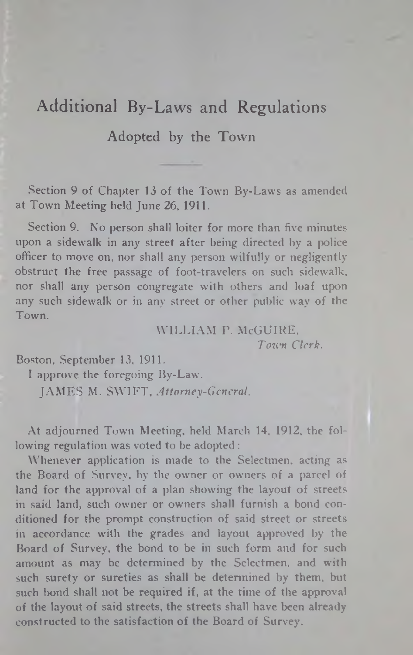# Additional By-Laws and Regulations

# Adopted by the Town

Section 9 of Chapter 13 of the Town By-Laws as amended at Town Meeting held June 26, 1911.

Section 9. No person shall loiter for more than five minutes upon a sidewalk in any street after being directed by a police officer to move on, nor shall any person wilfully or negligently obstruct the free passage of foot-travelers on such sidewalk, nor shall any person congregate with others and loaf upon any such sidewalk or in any street or other public way of the Town.

> WILLIAM P. McGUIRE, *Town Clerk.*

Boston, September 13, 1911.

I approve the foregoing By-Law.

JAMES M. SWIFT, *Attorney-General.*

At adjourned Town Meeting, held March 14, 1912, the following regulation was voted to be adopted :

Whenever application is made to the Selectmen, acting as the Board of Survey, by the owner or owners of a parcel of land for the approval of a plan showing the layout of streets in said land, such owner or owners shall furnish a bond conditioned for the prompt construction of said street or streets in accordance with the grades and layout approved by the Board of Survey, the bond to be in such form and for such amount as may be determined by the Selectmen, and with such surety or sureties as shall be determined by them, but such bond shall not be required if, at the time of the approval of the layout of said streets, the streets shall have been alreadyconstructed to the satisfaction of the Board of Survey.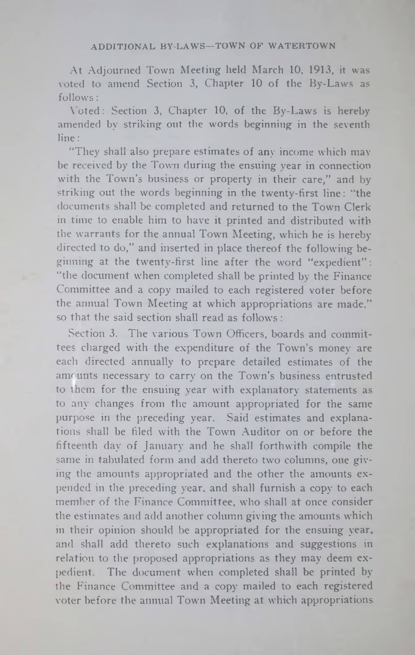At Adjourned Town Meeting held March 10, 1913, it was voted to amend Section 3, Chapter 10 of the By-Laws as follows:

Voted: Section 3, Chapter 10, of the By-Laws is hereby amended by striking out the words beginning in the seventh line:

"They shall also prepare estimates of any income which may be received by the Town during the ensuing year in connection with the Town's business or property in their care," and by striking out the words beginning in the twenty-first line: "the documents shall be completed and returned to the Town Clerk in time to enable him to have it printed and distributed with the warrants for the annual Town Meeting, which he is hereby directed to do," and inserted in place thereof the following beginning at the twenty-first line after the word "expedient" : "the document when completed shall be printed by the Finance Committee and a copy mailed to each registered voter before the annual Town Meeting at which appropriations are made," so that the said section shall read as follows:

Section 3. The various Town Officers, boards and committees charged with the expenditure of the Town's money are each directed annually to prepare detailed estimates of the amounts necessary to carry on the Town's business entrusted to them for the ensuing year with explanatory statements as to any changes from the amount appropriated for the same purpose in the preceding year. Said estimates and explanations shall be filed with the Town Auditor on or before the fifteenth day of January and he shall forthwith compile the same in tabulated form and add thereto two columns, one giving the amounts appropriated and the other the amounts expended in the preceding year, and shall furnish a copy to each member of the Finance Committee, who shall at once consider the estimates and add another column giving the amounts which in their opinion should be appropriated for the ensuing year, and shall add thereto such explanations and suggestions in relation to the proposed appropriations as they may deem expedient. The document when completed shall be printed by the Finance Committee and a copy mailed to each registered voter before the annual Town Meeting at which appropriations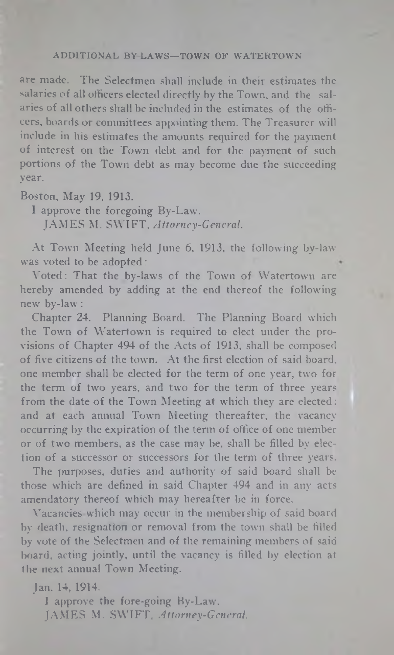#### **ADDITIONAL BY LAWS—TOWN OP WATERTOWN**

are made. The Selectmen shall include in their estimates the salaries of all officers elected directly by the Town, and the salaries of all others shall he included in the estimates of the officers, boards or committees appointing them. The Treasurer will include in his estimates the amounts required for the payment of interest on the Town debt and for the payment of such portions of the Town debt as may become due the succeeding year.

Boston, May 19, 1913.

I approve the foregoing By-Law. JAMES M. SWIFT, *Attorney-General.*

At Town Meeting held June 6, 1913, the following by-law was voted to be adopted:

Voted: That the by-laws of the Town of Watertown are hereby amended by adding at the end thereof the following new by-law :

Chapter 24. Planning Board. The Planning Board which the Town of Watertown is required to elect under the provisions of Chapter 494 of the Acts of 1913, shall be composed of five citizens of the town. At the first election of said board, one member shall be elected for the term of one year, two for the term of two years, and two for the term of three years from the date of the Town Meeting at which they are elected: and at each annual Town Meeting thereafter, the vacancy occurring by the expiration of the term of office of one member or of two members, as the case may be, shall be filled by election of a successor or successors for the term of three years.

The purposes, duties and authority of said board shall be those which are defined in said Chapter 494 and in any acts amendatory thereof which may hereafter be in force.

Vacancies which may occur in the membership of said board by death, resignation or removal from the town shall be filled by vote of the Selectmen and of the remaining members of said board, acting jointly, until the vacancy is filled by election at the next annual Town Meeting.

Jan. 14, 1914. **I approve the fore-going By-Law.** JAMES M. SWIFT, *Attorney-General.*